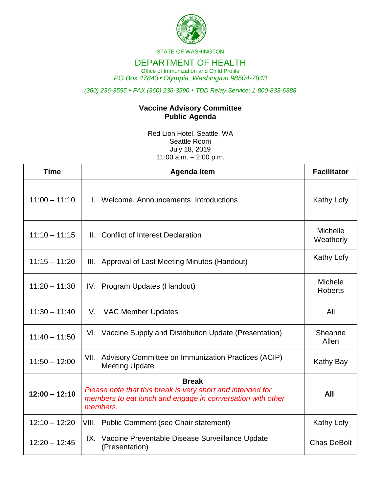

STATE OF WASHINGTON

## DEPARTMENT OF HEALTH

Office of Immunization and Child Profile *PO Box 47843 Olympia, Washington 98504-7843*

*(360) 236-3595 FAX (360) 236-3590 TDD Relay Service: 1-800-833-6388*

## **Vaccine Advisory Committee Public Agenda**

Red Lion Hotel, Seattle, WA Seattle Room July 18, 2019 11:00 a.m. – 2:00 p.m.

| <b>Time</b>     | <b>Agenda Item</b>                                                                                                                                   | <b>Facilitator</b>           |
|-----------------|------------------------------------------------------------------------------------------------------------------------------------------------------|------------------------------|
| $11:00 - 11:10$ | I. Welcome, Announcements, Introductions                                                                                                             | Kathy Lofy                   |
| $11:10 - 11:15$ | II. Conflict of Interest Declaration                                                                                                                 | <b>Michelle</b><br>Weatherly |
| $11:15 - 11:20$ | III. Approval of Last Meeting Minutes (Handout)                                                                                                      | Kathy Lofy                   |
| $11:20 - 11:30$ | IV. Program Updates (Handout)                                                                                                                        | Michele<br><b>Roberts</b>    |
| $11:30 - 11:40$ | V. VAC Member Updates                                                                                                                                | All                          |
| $11:40 - 11:50$ | VI. Vaccine Supply and Distribution Update (Presentation)                                                                                            | Sheanne<br>Allen             |
| $11:50 - 12:00$ | VII. Advisory Committee on Immunization Practices (ACIP)<br><b>Meeting Update</b>                                                                    | <b>Kathy Bay</b>             |
| $12:00 - 12:10$ | <b>Break</b><br>Please note that this break is very short and intended for<br>members to eat lunch and engage in conversation with other<br>members. | All                          |
| $12:10 - 12:20$ | VIII. Public Comment (see Chair statement)                                                                                                           | Kathy Lofy                   |
| $12:20 - 12:45$ | IX. Vaccine Preventable Disease Surveillance Update<br>(Presentation)                                                                                | <b>Chas DeBolt</b>           |